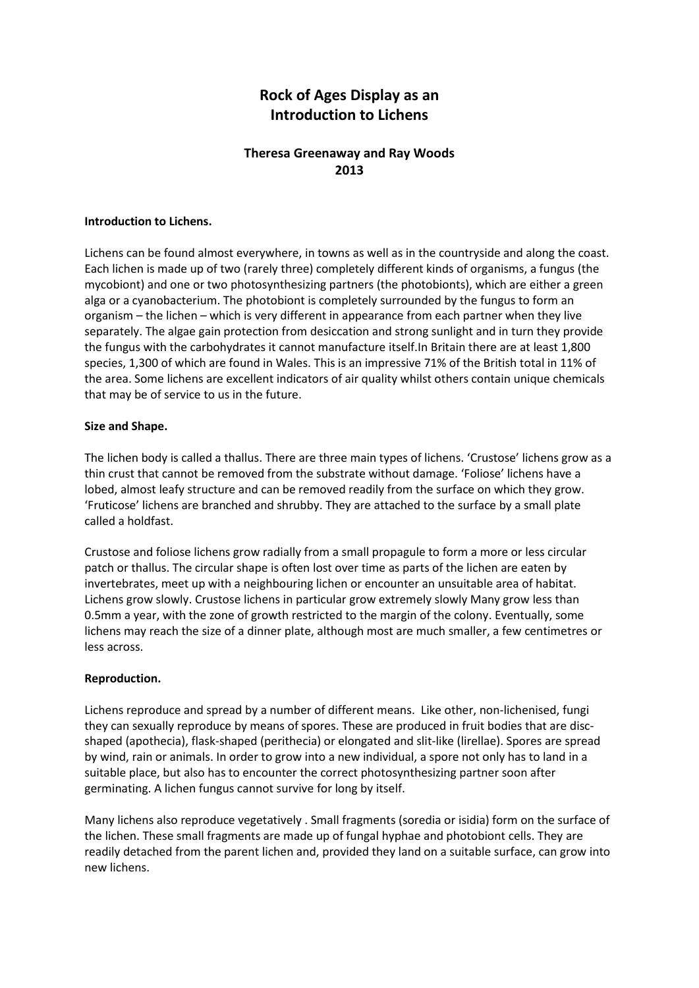# **Rock of Ages Display as an Introduction to Lichens**

## **Theresa Greenaway and Ray Woods 2013**

### **Introduction to Lichens.**

Lichens can be found almost everywhere, in towns as well as in the countryside and along the coast. Each lichen is made up of two (rarely three) completely different kinds of organisms, a fungus (the mycobiont) and one or two photosynthesizing partners (the photobionts), which are either a green alga or a cyanobacterium. The photobiont is completely surrounded by the fungus to form an organism – the lichen – which is very different in appearance from each partner when they live separately. The algae gain protection from desiccation and strong sunlight and in turn they provide the fungus with the carbohydrates it cannot manufacture itself.In Britain there are at least 1,800 species, 1,300 of which are found in Wales. This is an impressive 71% of the British total in 11% of the area. Some lichens are excellent indicators of air quality whilst others contain unique chemicals that may be of service to us in the future.

### **Size and Shape.**

The lichen body is called a thallus. There are three main types of lichens. 'Crustose' lichens grow as a thin crust that cannot be removed from the substrate without damage. 'Foliose' lichens have a lobed, almost leafy structure and can be removed readily from the surface on which they grow. 'Fruticose' lichens are branched and shrubby. They are attached to the surface by a small plate called a holdfast.

Crustose and foliose lichens grow radially from a small propagule to form a more or less circular patch or thallus. The circular shape is often lost over time as parts of the lichen are eaten by invertebrates, meet up with a neighbouring lichen or encounter an unsuitable area of habitat. Lichens grow slowly. Crustose lichens in particular grow extremely slowly Many grow less than 0.5mm a year, with the zone of growth restricted to the margin of the colony. Eventually, some lichens may reach the size of a dinner plate, although most are much smaller, a few centimetres or less across.

#### **Reproduction.**

Lichens reproduce and spread by a number of different means. Like other, non-lichenised, fungi they can sexually reproduce by means of spores. These are produced in fruit bodies that are discshaped (apothecia), flask-shaped (perithecia) or elongated and slit-like (lirellae). Spores are spread by wind, rain or animals. In order to grow into a new individual, a spore not only has to land in a suitable place, but also has to encounter the correct photosynthesizing partner soon after germinating. A lichen fungus cannot survive for long by itself.

Many lichens also reproduce vegetatively . Small fragments (soredia or isidia) form on the surface of the lichen. These small fragments are made up of fungal hyphae and photobiont cells. They are readily detached from the parent lichen and, provided they land on a suitable surface, can grow into new lichens.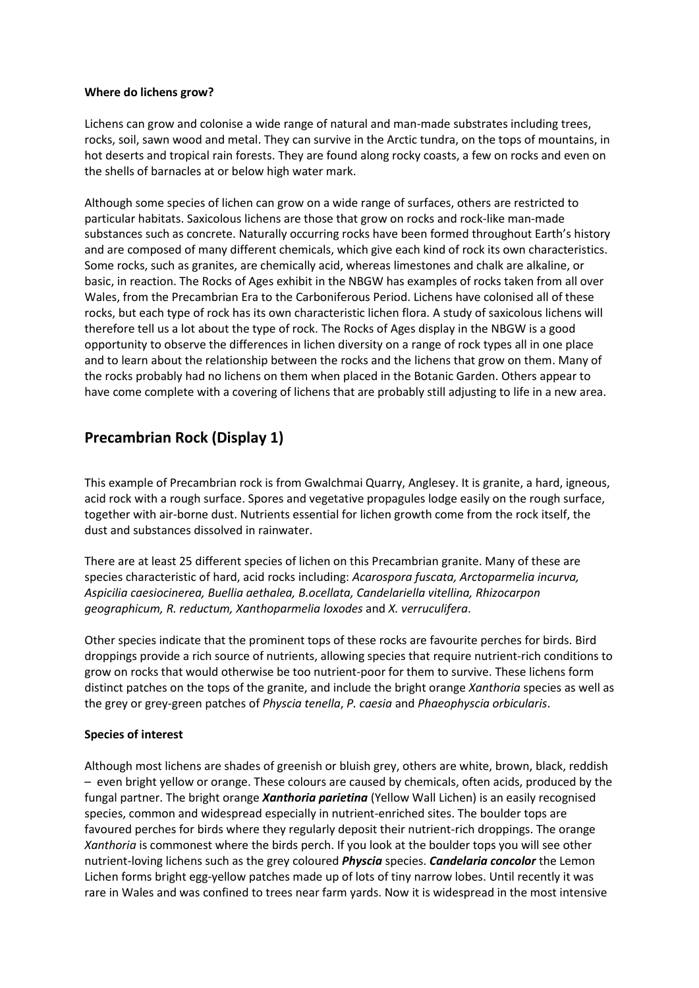### **Where do lichens grow?**

Lichens can grow and colonise a wide range of natural and man-made substrates including trees, rocks, soil, sawn wood and metal. They can survive in the Arctic tundra, on the tops of mountains, in hot deserts and tropical rain forests. They are found along rocky coasts, a few on rocks and even on the shells of barnacles at or below high water mark.

Although some species of lichen can grow on a wide range of surfaces, others are restricted to particular habitats. Saxicolous lichens are those that grow on rocks and rock-like man-made substances such as concrete. Naturally occurring rocks have been formed throughout Earth's history and are composed of many different chemicals, which give each kind of rock its own characteristics. Some rocks, such as granites, are chemically acid, whereas limestones and chalk are alkaline, or basic, in reaction. The Rocks of Ages exhibit in the NBGW has examples of rocks taken from all over Wales, from the Precambrian Era to the Carboniferous Period. Lichens have colonised all of these rocks, but each type of rock has its own characteristic lichen flora. A study of saxicolous lichens will therefore tell us a lot about the type of rock. The Rocks of Ages display in the NBGW is a good opportunity to observe the differences in lichen diversity on a range of rock types all in one place and to learn about the relationship between the rocks and the lichens that grow on them. Many of the rocks probably had no lichens on them when placed in the Botanic Garden. Others appear to have come complete with a covering of lichens that are probably still adjusting to life in a new area.

## **Precambrian Rock (Display 1)**

This example of Precambrian rock is from Gwalchmai Quarry, Anglesey. It is granite, a hard, igneous, acid rock with a rough surface. Spores and vegetative propagules lodge easily on the rough surface, together with air-borne dust. Nutrients essential for lichen growth come from the rock itself, the dust and substances dissolved in rainwater.

There are at least 25 different species of lichen on this Precambrian granite. Many of these are species characteristic of hard, acid rocks including: *Acarospora fuscata, Arctoparmelia incurva, Aspicilia caesiocinerea, Buellia aethalea, B.ocellata, Candelariella vitellina, Rhizocarpon geographicum, R. reductum, Xanthoparmelia loxodes* and *X. verruculifera*.

Other species indicate that the prominent tops of these rocks are favourite perches for birds. Bird droppings provide a rich source of nutrients, allowing species that require nutrient-rich conditions to grow on rocks that would otherwise be too nutrient-poor for them to survive. These lichens form distinct patches on the tops of the granite, and include the bright orange *Xanthoria* species as well as the grey or grey-green patches of *Physcia tenella*, *P. caesia* and *Phaeophyscia orbicularis*.

### **Species of interest**

Although most lichens are shades of greenish or bluish grey, others are white, brown, black, reddish – even bright yellow or orange. These colours are caused by chemicals, often acids, produced by the fungal partner. The bright orange *Xanthoria parietina* (Yellow Wall Lichen) is an easily recognised species, common and widespread especially in nutrient-enriched sites. The boulder tops are favoured perches for birds where they regularly deposit their nutrient-rich droppings. The orange *Xanthoria* is commonest where the birds perch. If you look at the boulder tops you will see other nutrient-loving lichens such as the grey coloured *Physcia* species. *Candelaria concolor* the Lemon Lichen forms bright egg-yellow patches made up of lots of tiny narrow lobes. Until recently it was rare in Wales and was confined to trees near farm yards. Now it is widespread in the most intensive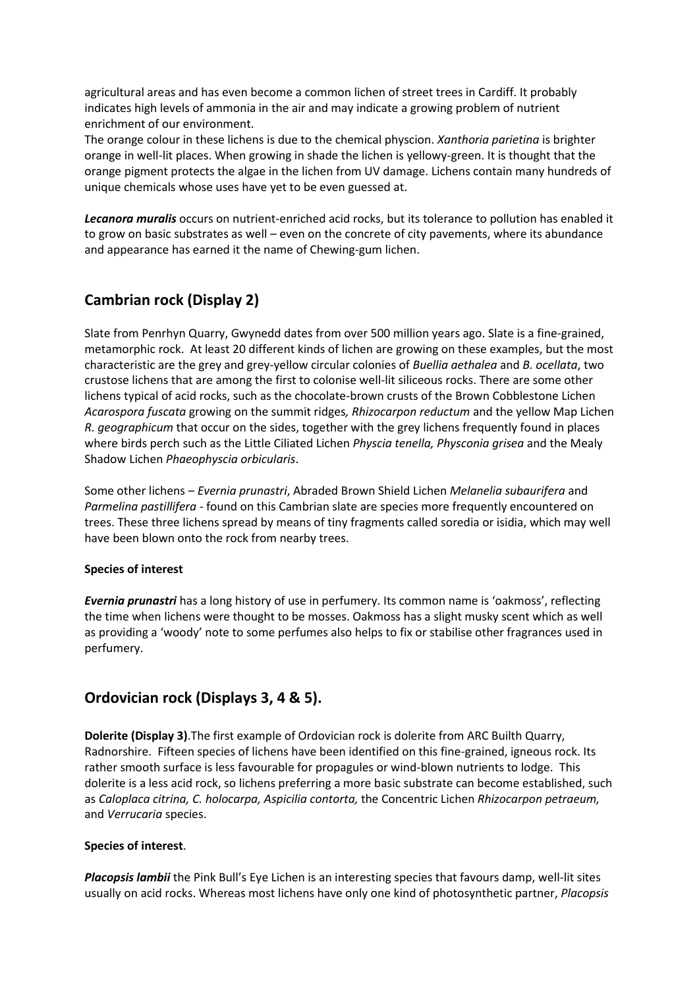agricultural areas and has even become a common lichen of street trees in Cardiff. It probably indicates high levels of ammonia in the air and may indicate a growing problem of nutrient enrichment of our environment.

The orange colour in these lichens is due to the chemical physcion. *Xanthoria parietina* is brighter orange in well-lit places. When growing in shade the lichen is yellowy-green. It is thought that the orange pigment protects the algae in the lichen from UV damage. Lichens contain many hundreds of unique chemicals whose uses have yet to be even guessed at.

*Lecanora muralis* occurs on nutrient-enriched acid rocks, but its tolerance to pollution has enabled it to grow on basic substrates as well – even on the concrete of city pavements, where its abundance and appearance has earned it the name of Chewing-gum lichen.

## **Cambrian rock (Display 2)**

Slate from Penrhyn Quarry, Gwynedd dates from over 500 million years ago. Slate is a fine-grained, metamorphic rock. At least 20 different kinds of lichen are growing on these examples, but the most characteristic are the grey and grey-yellow circular colonies of *Buellia aethalea* and *B. ocellata*, two crustose lichens that are among the first to colonise well-lit siliceous rocks. There are some other lichens typical of acid rocks, such as the chocolate-brown crusts of the Brown Cobblestone Lichen *Acarospora fuscata* growing on the summit ridges*, Rhizocarpon reductum* and the yellow Map Lichen *R. geographicum* that occur on the sides, together with the grey lichens frequently found in places where birds perch such as the Little Ciliated Lichen *Physcia tenella, Physconia grisea* and the Mealy Shadow Lichen *Phaeophyscia orbicularis*.

Some other lichens – *Evernia prunastri*, Abraded Brown Shield Lichen *Melanelia subaurifera* and *Parmelina pastillifera -* found on this Cambrian slate are species more frequently encountered on trees. These three lichens spread by means of tiny fragments called soredia or isidia, which may well have been blown onto the rock from nearby trees.

### **Species of interest**

*Evernia prunastri* has a long history of use in perfumery. Its common name is 'oakmoss', reflecting the time when lichens were thought to be mosses. Oakmoss has a slight musky scent which as well as providing a 'woody' note to some perfumes also helps to fix or stabilise other fragrances used in perfumery.

## **Ordovician rock (Displays 3, 4 & 5).**

**Dolerite (Display 3)**.The first example of Ordovician rock is dolerite from ARC Builth Quarry, Radnorshire. Fifteen species of lichens have been identified on this fine-grained, igneous rock. Its rather smooth surface is less favourable for propagules or wind-blown nutrients to lodge. This dolerite is a less acid rock, so lichens preferring a more basic substrate can become established, such as *Caloplaca citrina, C. holocarpa, Aspicilia contorta,* the Concentric Lichen *Rhizocarpon petraeum,*  and *Verrucaria* species.

### **Species of interest**.

*Placopsis lambii* the Pink Bull's Eye Lichen is an interesting species that favours damp, well-lit sites usually on acid rocks. Whereas most lichens have only one kind of photosynthetic partner, *Placopsis*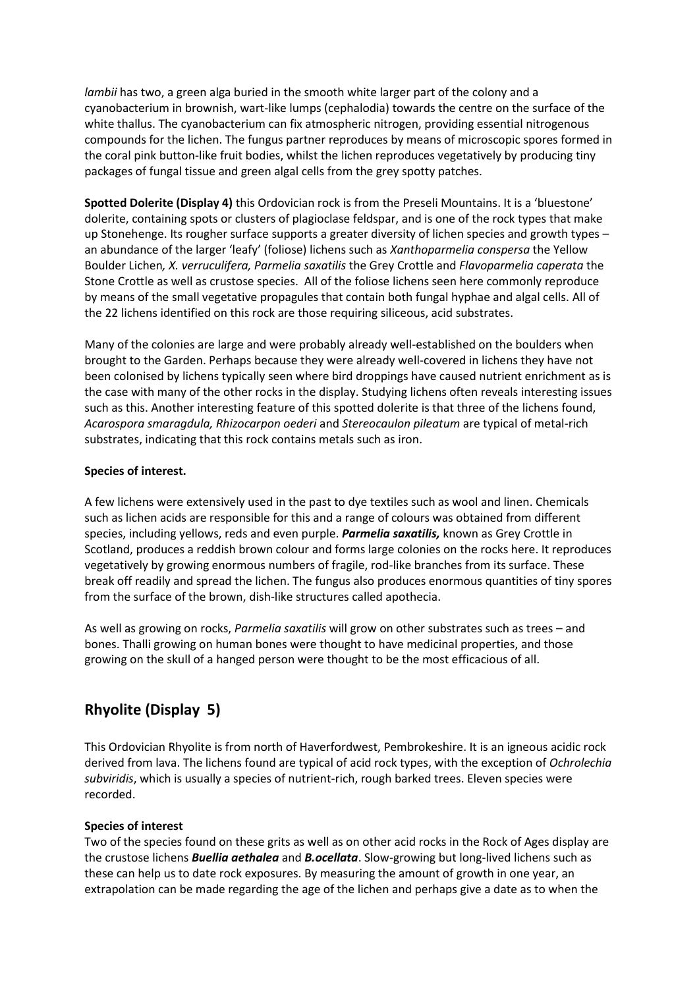*lambii* has two, a green alga buried in the smooth white larger part of the colony and a cyanobacterium in brownish, wart-like lumps (cephalodia) towards the centre on the surface of the white thallus. The cyanobacterium can fix atmospheric nitrogen, providing essential nitrogenous compounds for the lichen. The fungus partner reproduces by means of microscopic spores formed in the coral pink button-like fruit bodies, whilst the lichen reproduces vegetatively by producing tiny packages of fungal tissue and green algal cells from the grey spotty patches.

**Spotted Dolerite (Display 4)** this Ordovician rock is from the Preseli Mountains. It is a 'bluestone' dolerite, containing spots or clusters of plagioclase feldspar, and is one of the rock types that make up Stonehenge. Its rougher surface supports a greater diversity of lichen species and growth types – an abundance of the larger 'leafy' (foliose) lichens such as *Xanthoparmelia conspersa* the Yellow Boulder Lichen*, X. verruculifera, Parmelia saxatilis* the Grey Crottle and *Flavoparmelia caperata* the Stone Crottle as well as crustose species. All of the foliose lichens seen here commonly reproduce by means of the small vegetative propagules that contain both fungal hyphae and algal cells. All of the 22 lichens identified on this rock are those requiring siliceous, acid substrates.

Many of the colonies are large and were probably already well-established on the boulders when brought to the Garden. Perhaps because they were already well-covered in lichens they have not been colonised by lichens typically seen where bird droppings have caused nutrient enrichment as is the case with many of the other rocks in the display. Studying lichens often reveals interesting issues such as this. Another interesting feature of this spotted dolerite is that three of the lichens found, *Acarospora smaragdula, Rhizocarpon oederi* and *Stereocaulon pileatum* are typical of metal-rich substrates, indicating that this rock contains metals such as iron.

### **Species of interest.**

A few lichens were extensively used in the past to dye textiles such as wool and linen. Chemicals such as lichen acids are responsible for this and a range of colours was obtained from different species, including yellows, reds and even purple. *Parmelia saxatilis,* known as Grey Crottle in Scotland, produces a reddish brown colour and forms large colonies on the rocks here. It reproduces vegetatively by growing enormous numbers of fragile, rod-like branches from its surface. These break off readily and spread the lichen. The fungus also produces enormous quantities of tiny spores from the surface of the brown, dish-like structures called apothecia.

As well as growing on rocks, *Parmelia saxatilis* will grow on other substrates such as trees – and bones. Thalli growing on human bones were thought to have medicinal properties, and those growing on the skull of a hanged person were thought to be the most efficacious of all.

# **Rhyolite (Display 5)**

This Ordovician Rhyolite is from north of Haverfordwest, Pembrokeshire. It is an igneous acidic rock derived from lava. The lichens found are typical of acid rock types, with the exception of *Ochrolechia subviridis*, which is usually a species of nutrient-rich, rough barked trees. Eleven species were recorded.

### **Species of interest**

Two of the species found on these grits as well as on other acid rocks in the Rock of Ages display are the crustose lichens *Buellia aethalea* and *B.ocellata*. Slow-growing but long-lived lichens such as these can help us to date rock exposures. By measuring the amount of growth in one year, an extrapolation can be made regarding the age of the lichen and perhaps give a date as to when the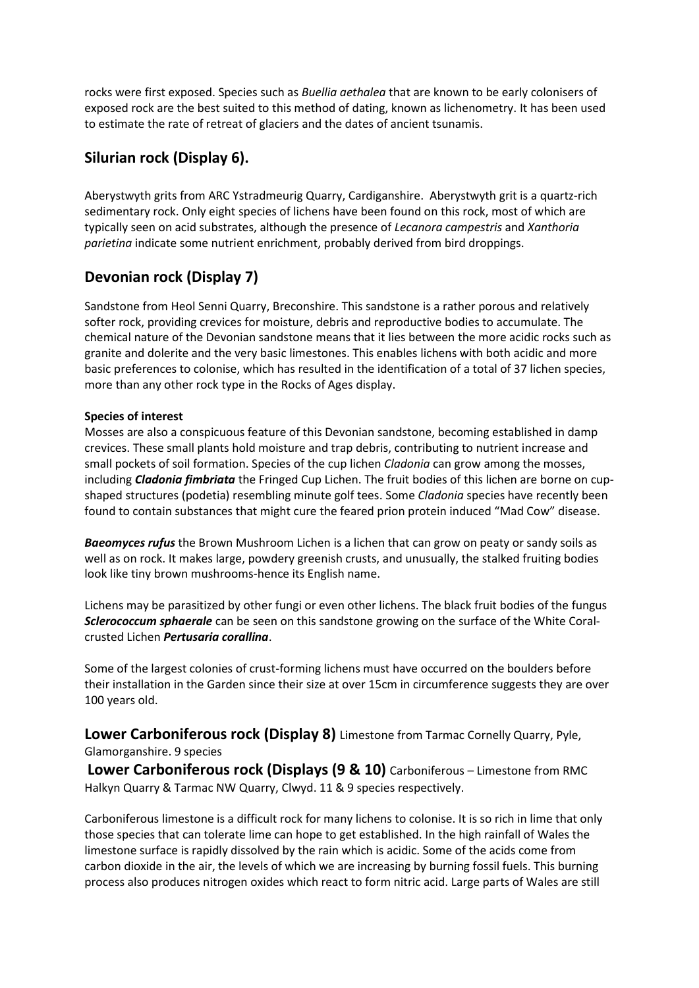rocks were first exposed. Species such as *Buellia aethalea* that are known to be early colonisers of exposed rock are the best suited to this method of dating, known as lichenometry. It has been used to estimate the rate of retreat of glaciers and the dates of ancient tsunamis.

## **Silurian rock (Display 6).**

Aberystwyth grits from ARC Ystradmeurig Quarry, Cardiganshire. Aberystwyth grit is a quartz-rich sedimentary rock. Only eight species of lichens have been found on this rock, most of which are typically seen on acid substrates, although the presence of *Lecanora campestris* and *Xanthoria parietina* indicate some nutrient enrichment, probably derived from bird droppings.

# **Devonian rock (Display 7)**

Sandstone from Heol Senni Quarry, Breconshire. This sandstone is a rather porous and relatively softer rock, providing crevices for moisture, debris and reproductive bodies to accumulate. The chemical nature of the Devonian sandstone means that it lies between the more acidic rocks such as granite and dolerite and the very basic limestones. This enables lichens with both acidic and more basic preferences to colonise, which has resulted in the identification of a total of 37 lichen species, more than any other rock type in the Rocks of Ages display.

## **Species of interest**

Mosses are also a conspicuous feature of this Devonian sandstone, becoming established in damp crevices. These small plants hold moisture and trap debris, contributing to nutrient increase and small pockets of soil formation. Species of the cup lichen *Cladonia* can grow among the mosses, including *Cladonia fimbriata* the Fringed Cup Lichen. The fruit bodies of this lichen are borne on cupshaped structures (podetia) resembling minute golf tees. Some *Cladonia* species have recently been found to contain substances that might cure the feared prion protein induced "Mad Cow" disease.

*Baeomyces rufus* the Brown Mushroom Lichen is a lichen that can grow on peaty or sandy soils as well as on rock. It makes large, powdery greenish crusts, and unusually, the stalked fruiting bodies look like tiny brown mushrooms-hence its English name.

Lichens may be parasitized by other fungi or even other lichens. The black fruit bodies of the fungus *Sclerococcum sphaerale* can be seen on this sandstone growing on the surface of the White Coralcrusted Lichen *Pertusaria corallina*.

Some of the largest colonies of crust-forming lichens must have occurred on the boulders before their installation in the Garden since their size at over 15cm in circumference suggests they are over 100 years old.

**Lower Carboniferous rock (Display 8)** Limestone from Tarmac Cornelly Quarry, Pyle, Glamorganshire. 9 species

**Lower Carboniferous rock (Displays (9 & 10)** Carboniferous – Limestone from RMC Halkyn Quarry & Tarmac NW Quarry, Clwyd. 11 & 9 species respectively.

Carboniferous limestone is a difficult rock for many lichens to colonise. It is so rich in lime that only those species that can tolerate lime can hope to get established. In the high rainfall of Wales the limestone surface is rapidly dissolved by the rain which is acidic. Some of the acids come from carbon dioxide in the air, the levels of which we are increasing by burning fossil fuels. This burning process also produces nitrogen oxides which react to form nitric acid. Large parts of Wales are still